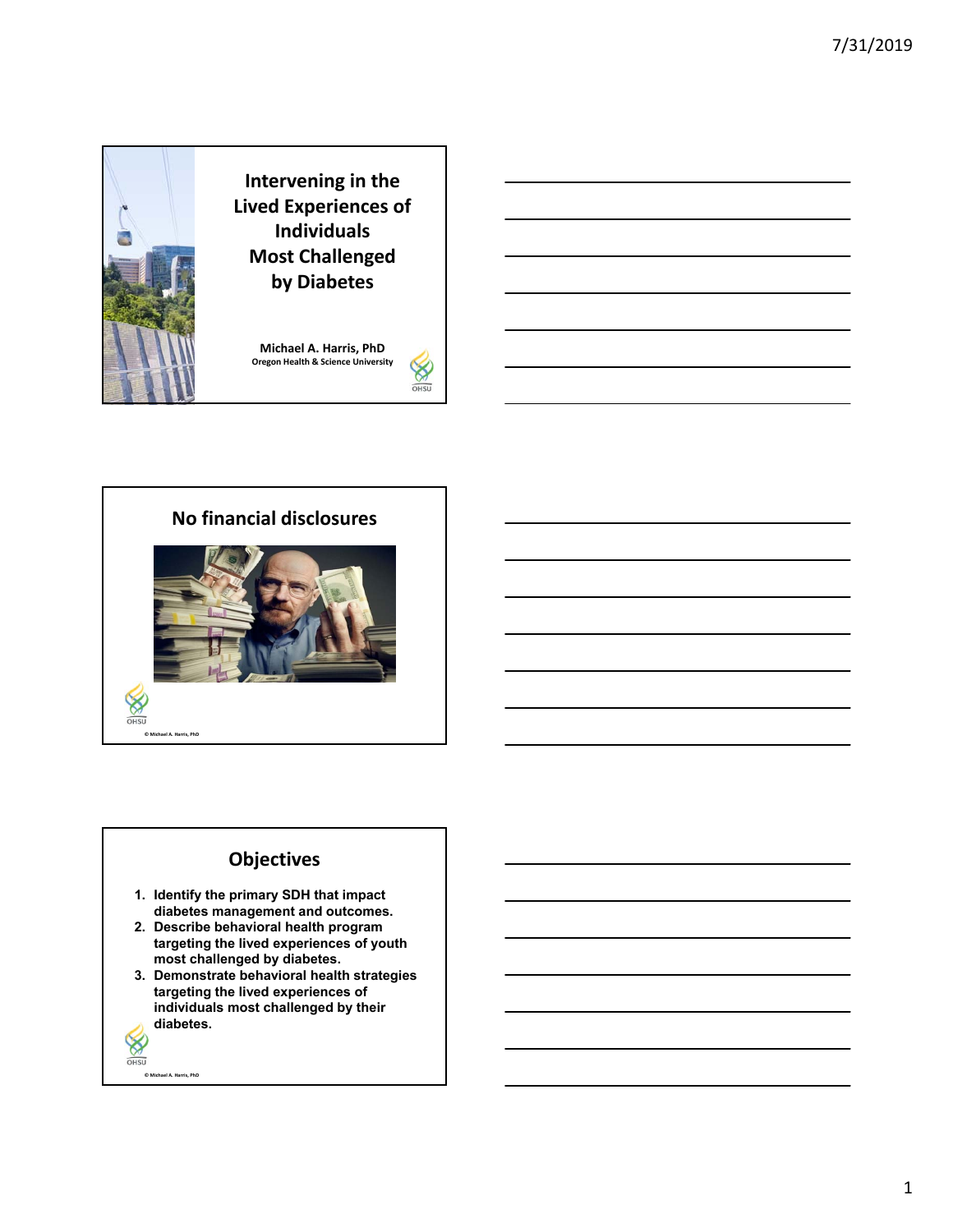

**Michael A. Harris, PhD Oregon Health & Science University**





# **Objectives**

- **1. Identify the primary SDH that impact diabetes management and outcomes.**
- **2. Describe behavioral health program targeting the lived experiences of youth most challenged by diabetes.**
- **3. Demonstrate behavioral health strategies targeting the lived experiences of individuals most challenged by their diabetes.**
- $\otimes$

**© Michael A. Harris, PhD**

OHSU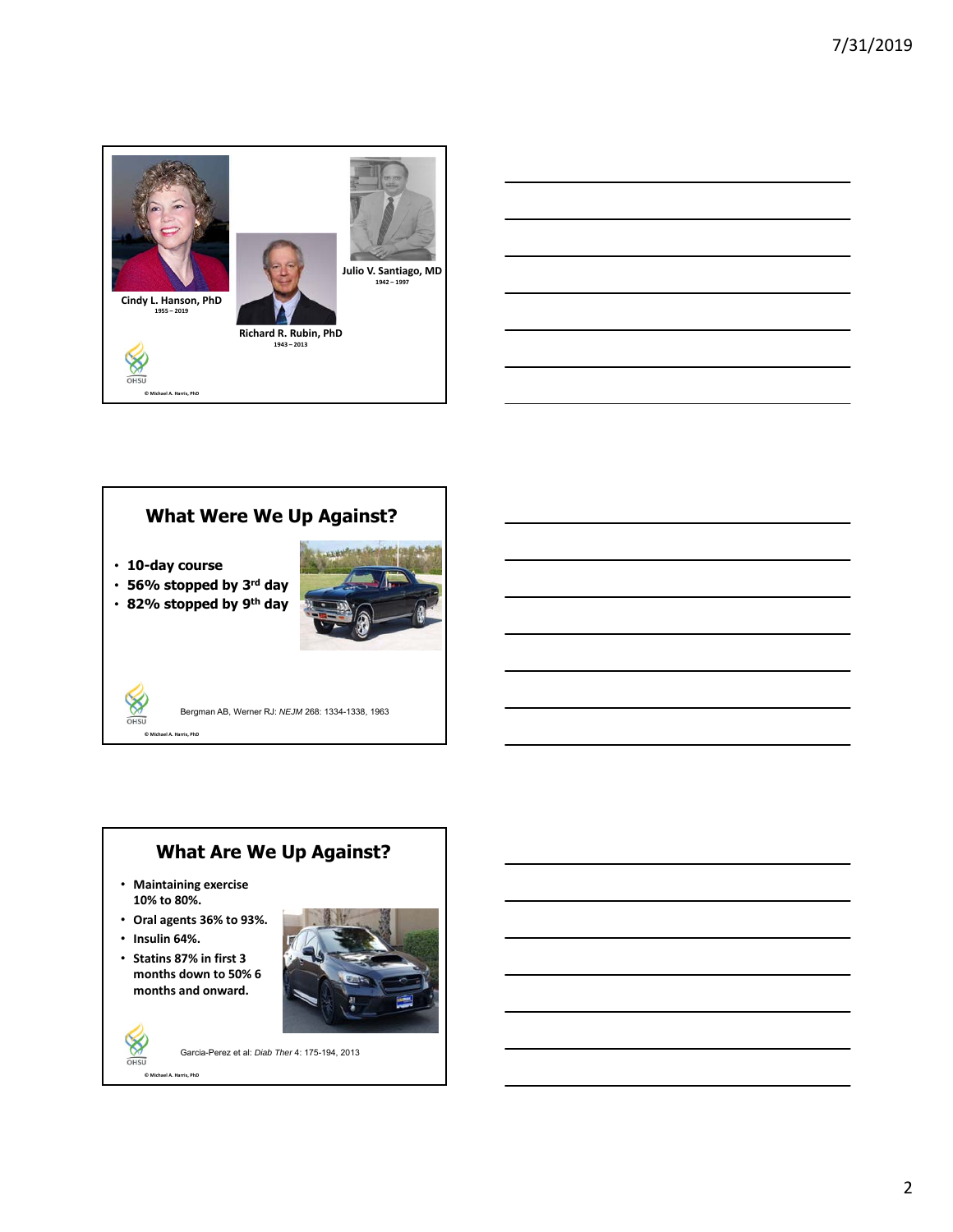

# **What Were We Up Against?**

• **10-day course**

**© Michael A. Harris, PhD**

 $OHSU$ 

• **56% stopped by 3rd day** • **82% stopped by 9th day**



Bergman AB, Werner RJ: *NEJM* 268: 1334-1338, 1963

## **What Are We Up Against?**

- **Maintaining exercise 10% to 80%.**
- **Oral agents 36% to 93%.**
- **Insulin 64%.**

 $\otimes$ OHSU

• **Statins 87% in first 3 months down to 50% 6 months and onward.**



**© Michael A. Harris, PhD** Garcia-Perez et al: *Diab Ther* 4: 175-194, 2013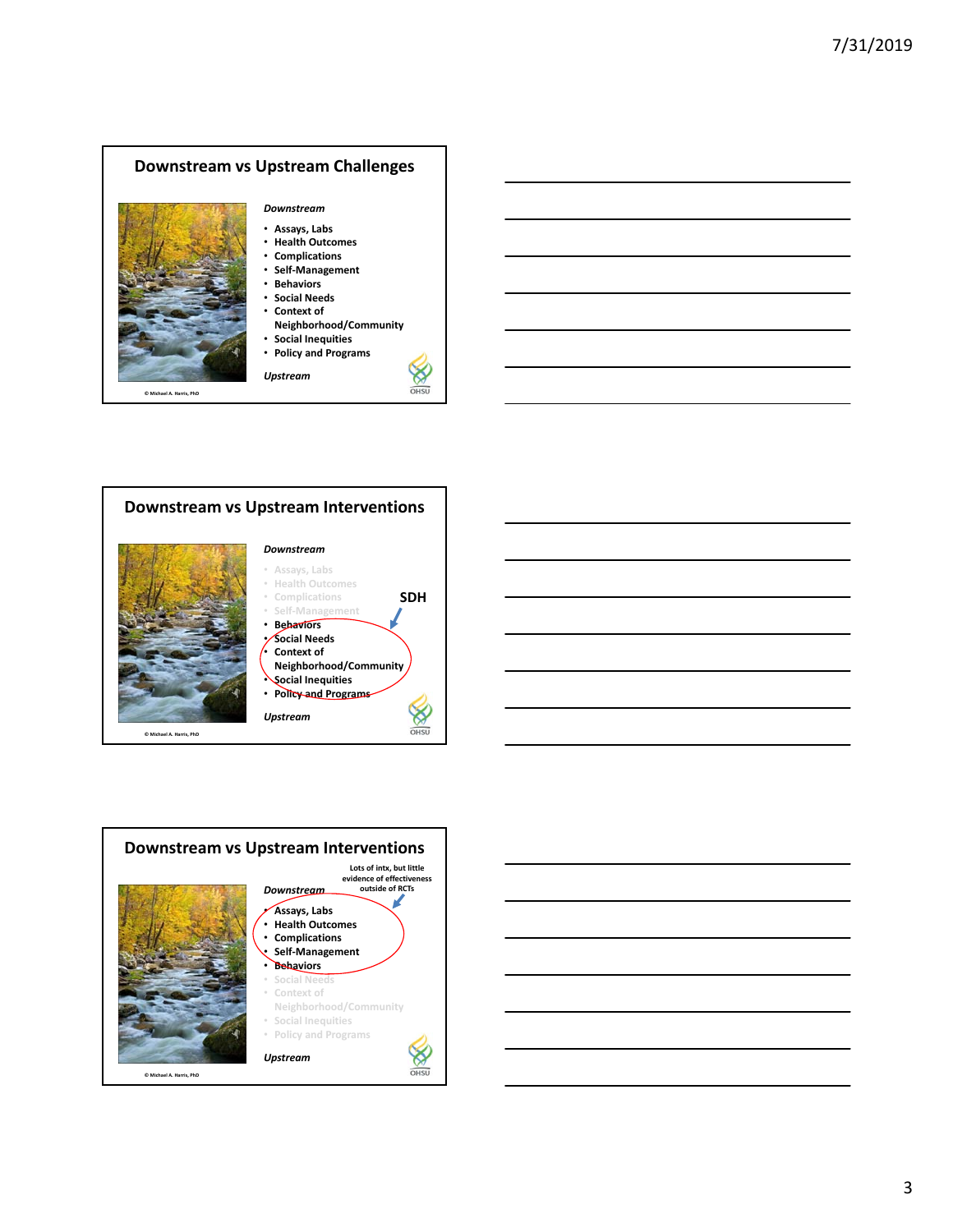





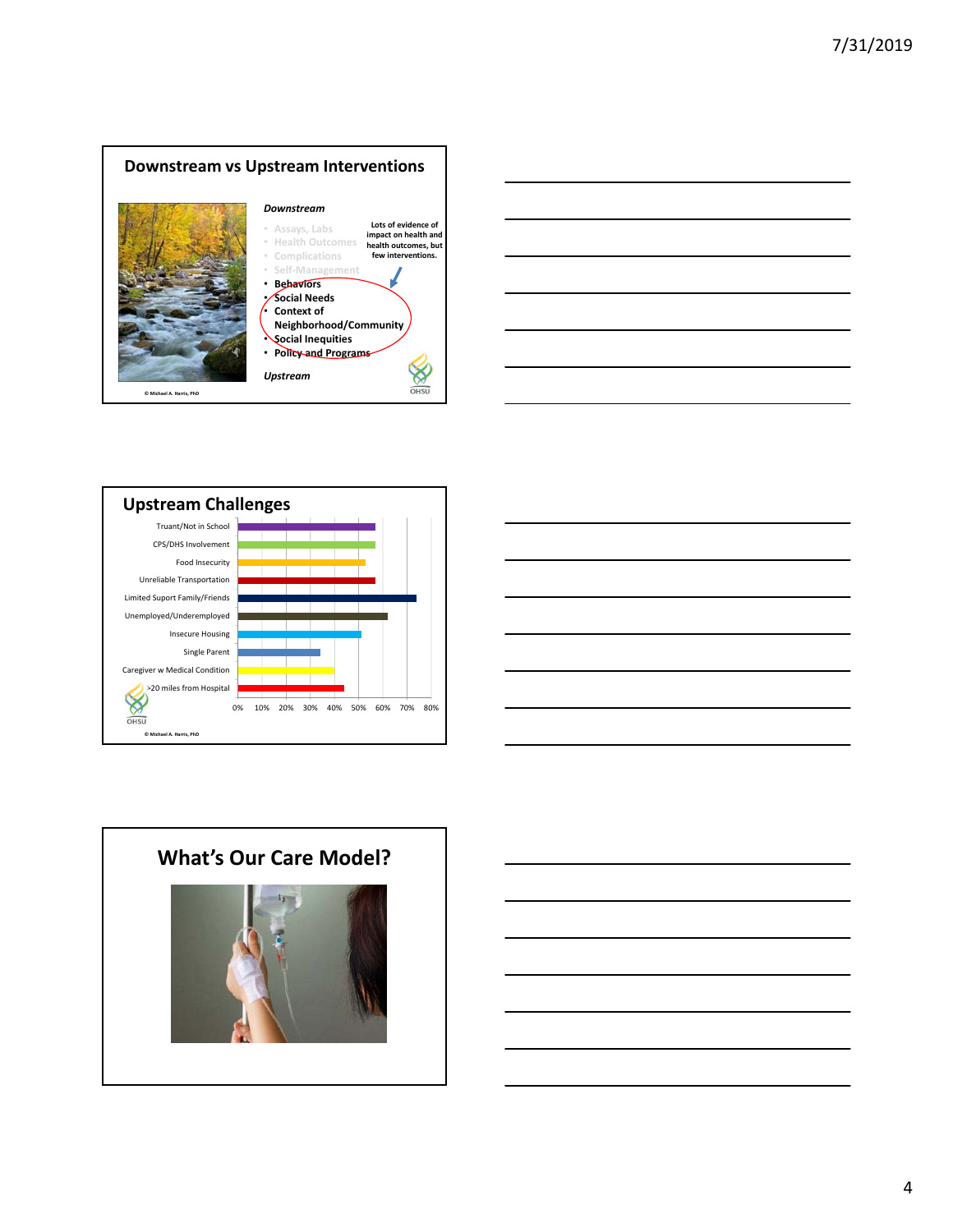







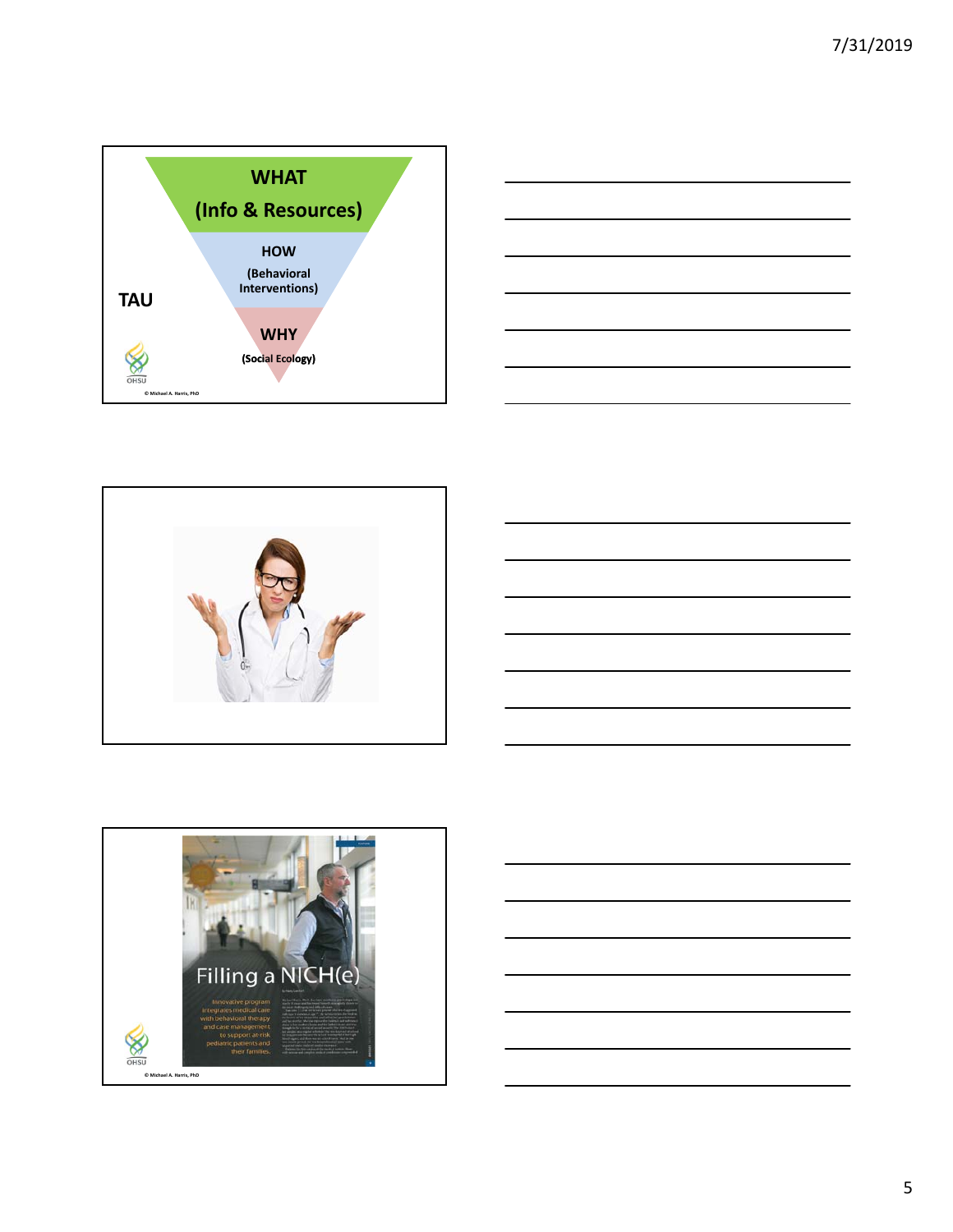









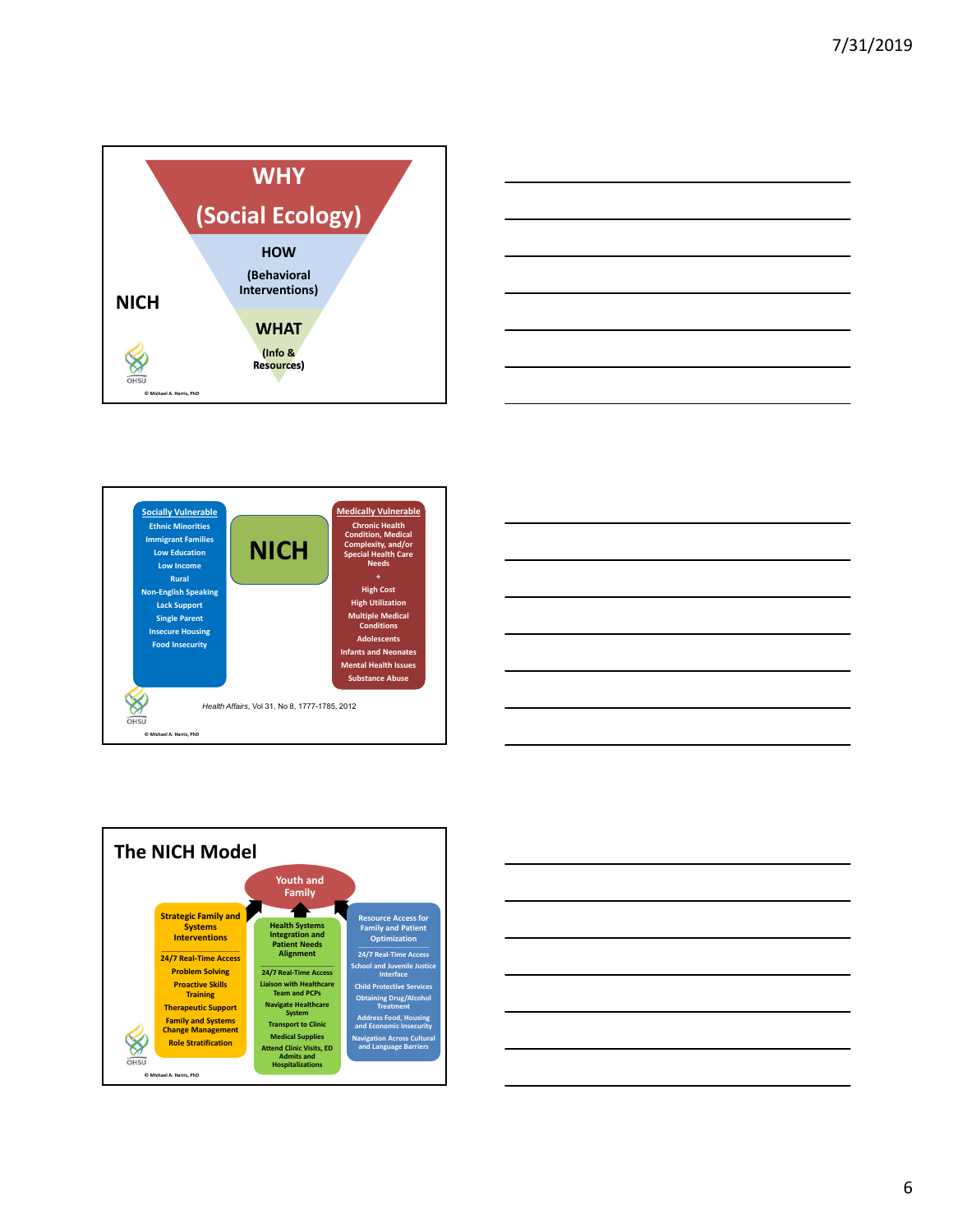









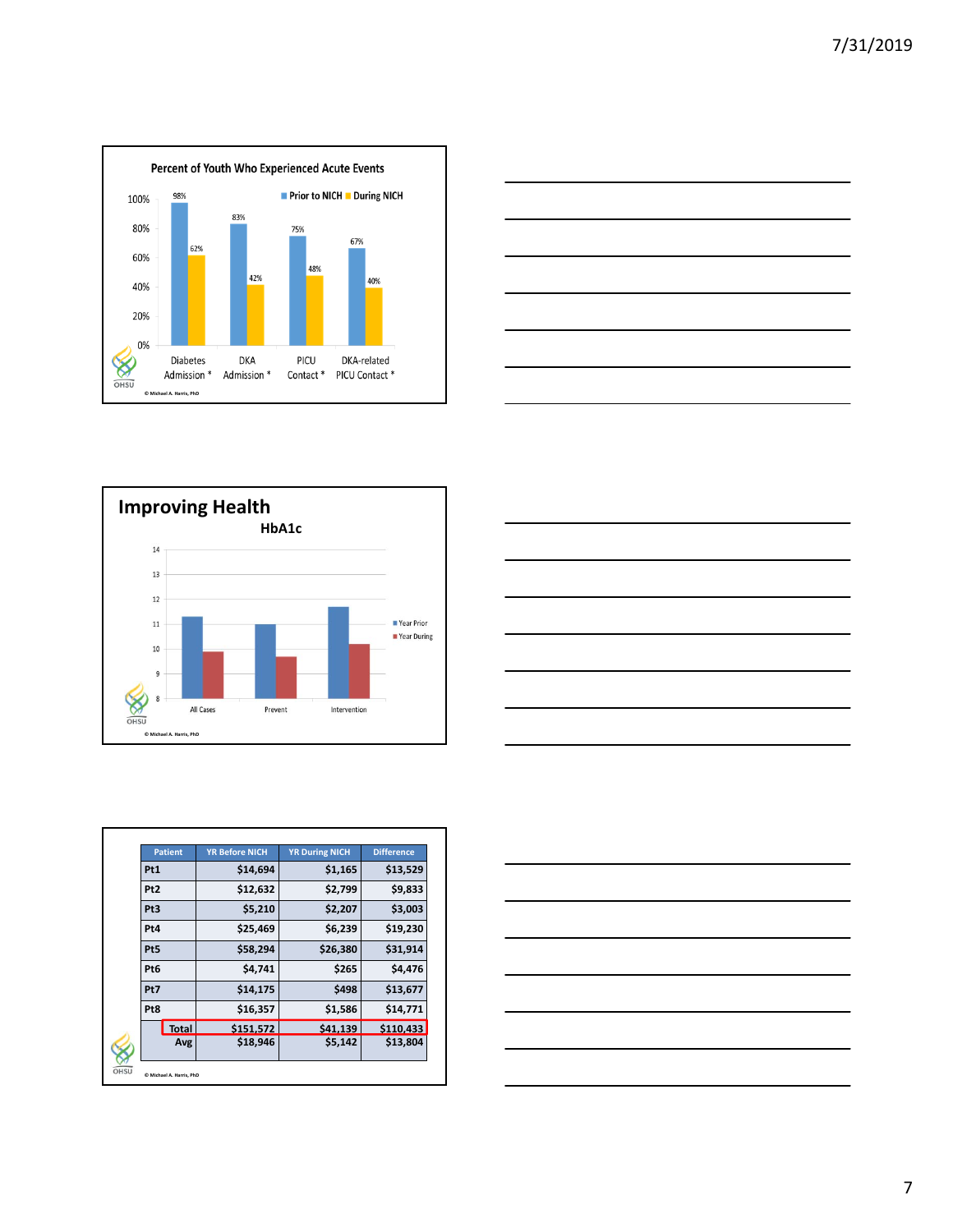







|                 | <b>Patient</b> | <b>YR Before NICH</b> | <b>YR During NICH</b> | <b>Difference</b> |
|-----------------|----------------|-----------------------|-----------------------|-------------------|
| Pt1             |                | \$14,694              | \$1,165               | \$13,529          |
| Pt <sub>2</sub> |                | \$12,632              | \$2,799               | \$9,833           |
| Pt <sub>3</sub> |                | \$5,210               | \$2,207               | \$3,003           |
| Pt4             |                | \$25,469              | \$6,239               | \$19,230          |
| Pt5             |                | \$58,294              | \$26,380              | \$31,914          |
| Pt <sub>6</sub> |                | \$4,741               | \$265                 | \$4,476           |
| Pt7             |                | \$14,175              | \$498                 | \$13,677          |
| Pt8             |                | \$16,357              | \$1,586               | \$14,771          |
|                 | <b>Total</b>   | \$151.572             | \$41.139              | \$110.433         |
|                 | Avg            | \$18,946              | \$5,142               | \$13,804          |

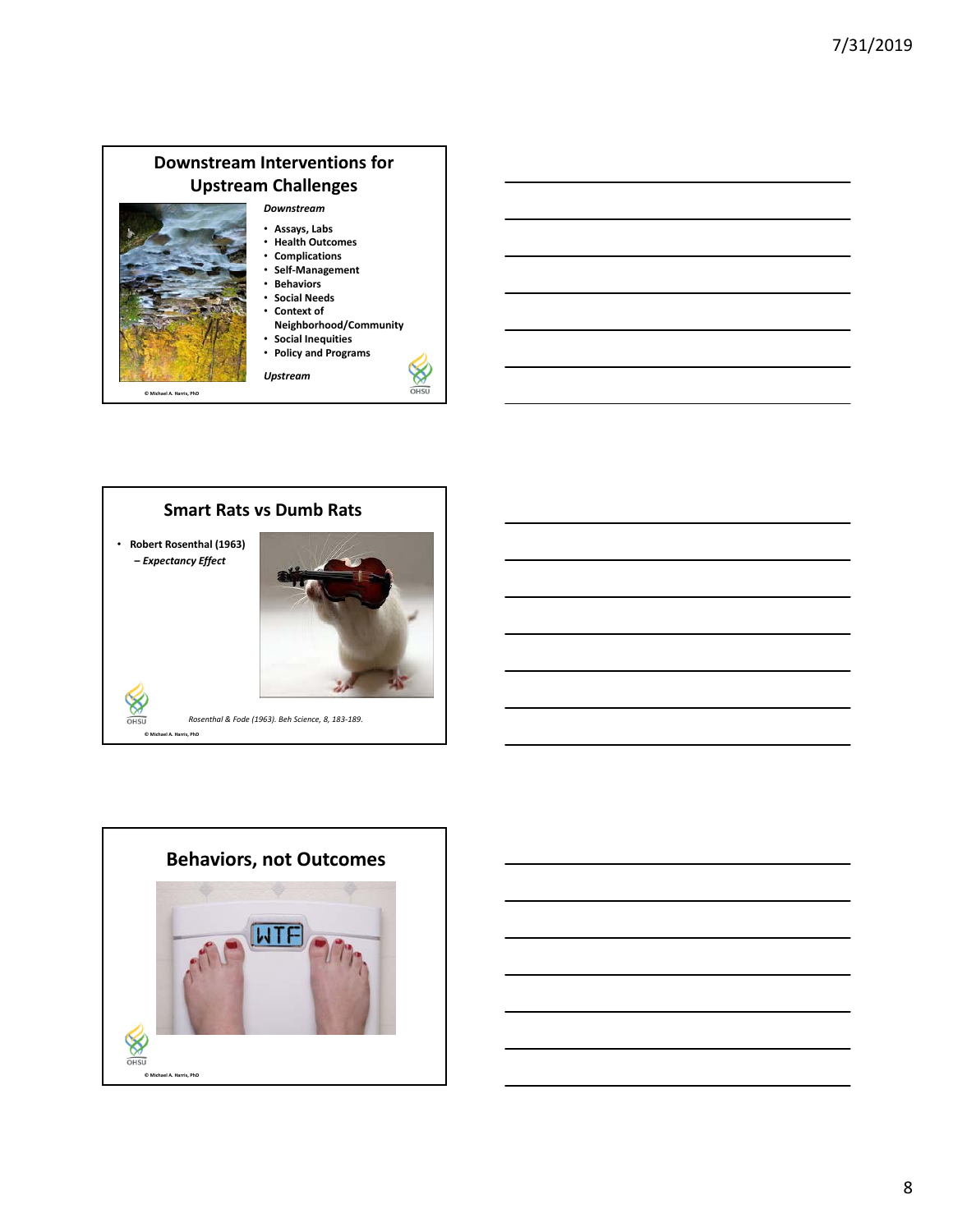#### **Downstream Interventions for Upstream Challenges** *Downstream* • **Assays, Labs** • **Health Outcomes**

- **Complications**
	- **Self‐Management** • **Behaviors**
	- **Social Needs**
	- **Context of**

*Upstream*

**Neighborhood/Community**

℅ OHSU

- **Social Inequities**
- **Policy and Programs**

**© Michael A. Harris, PhD**





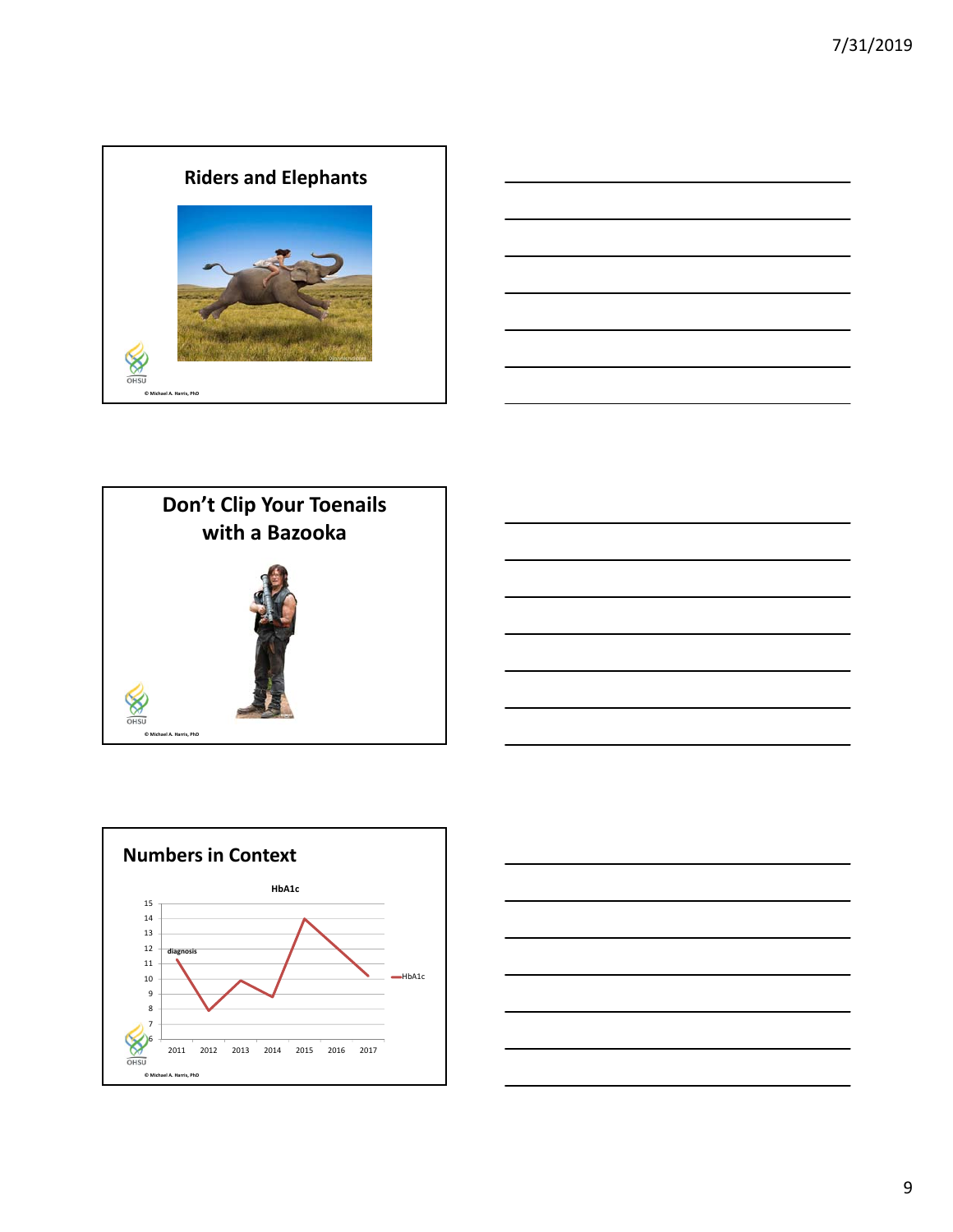









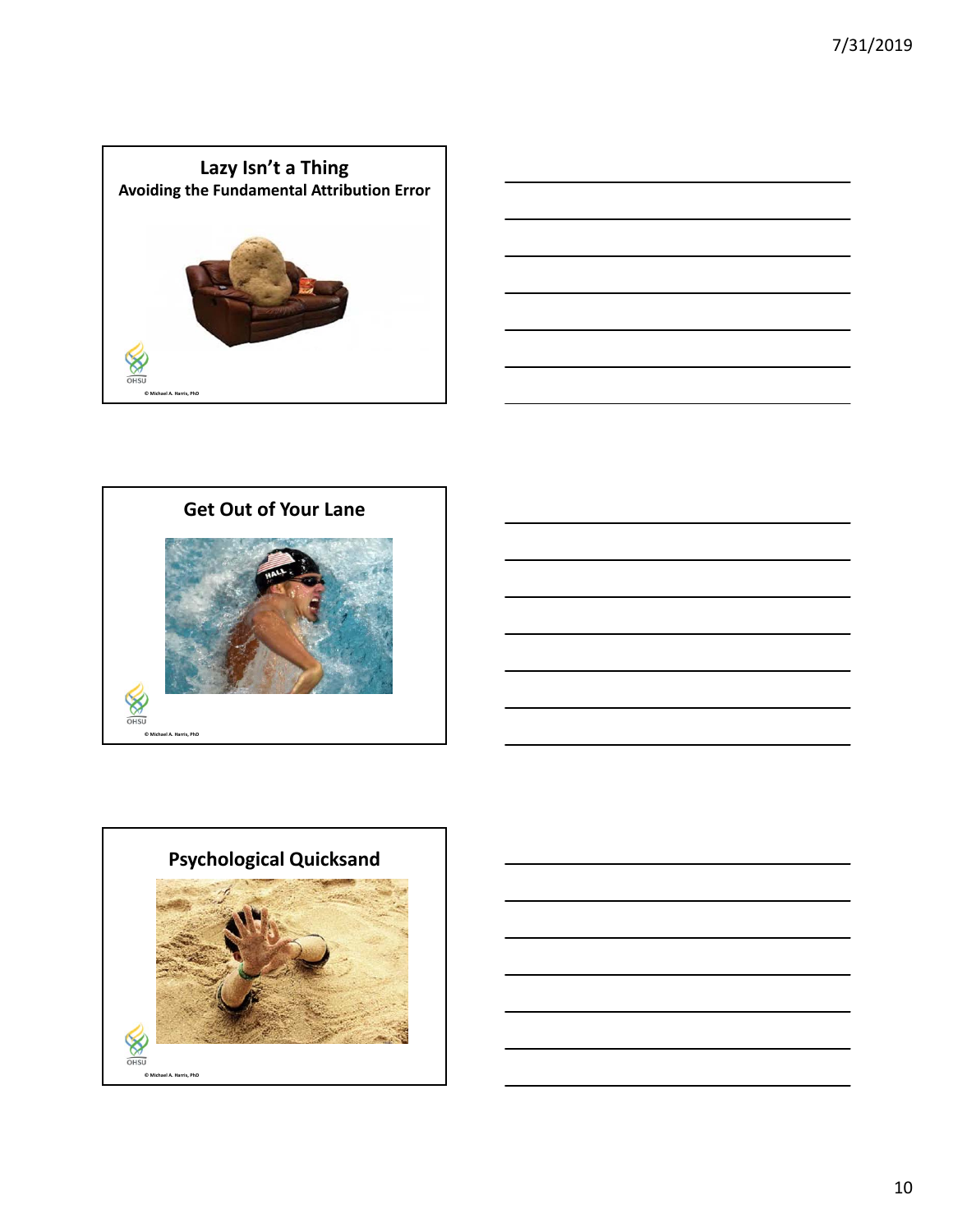





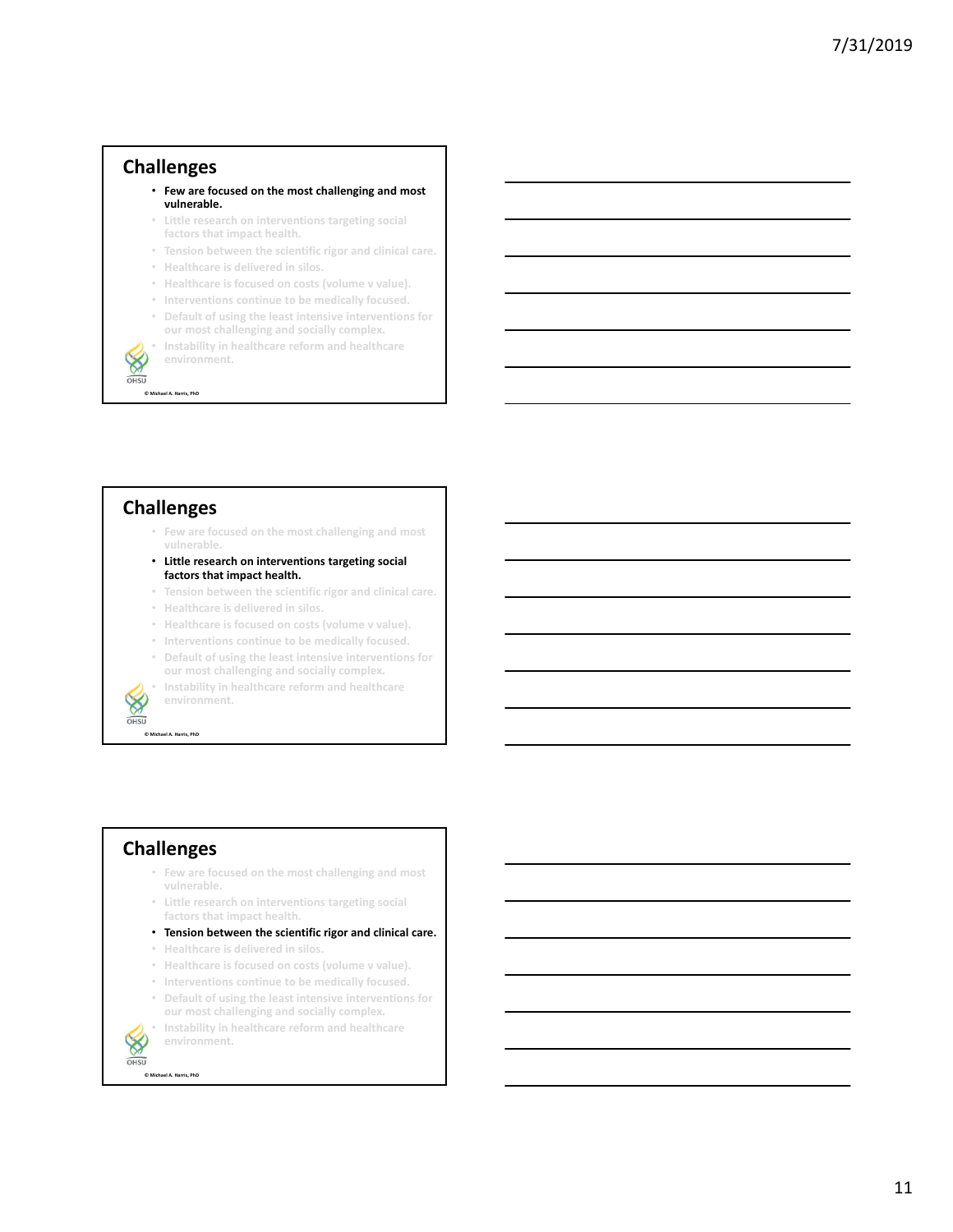### **Challenges**

- **Few are focused on the most challenging and most vulnerable.**
- **Little research on interventions targeting social factors that impact health.**
- **Tension between the scientific rigor and clinical care.**
- **Healthcare is delivered in silos.**
- **Healthcare is focused on costs (volume v value).**
- **Interventions continue to be medically focused.**
- **Default of using the least intensive interventions for our most challenging and socially complex.**
- **Instability in healthcare reform and healthcare environment.**

OHSU **© Michael A. Harris, PhD**

 $\otimes$ 

#### **Challenges**

- **Few are focused on the most challenging and most vulnerable.**
- **Little research on interventions targeting social factors that impact health.**
- **Tension between the scientific rigor and clinical care.**
- **Healthcare is delivered in silos.**
- **Healthcare is focused on costs (volume v value).**
- **Interventions continue to be medically focused.**
- **Default of using the least intensive interventions for our most challenging and socially complex.**
- **Instability in healthcare reform and healthcare environment.**

OHSU **© Michael A. Harris, PhD**

#### **Challenges**

- **Few are focused on the most challenging and most vulnerable.**
- **Little research on interventions targeting social factors that impact health.**
- **Tension between the scientific rigor and clinical care.**
- **Healthcare is delivered in silos.**
- **Healthcare is focused on costs (volume v value).**
- **Interventions continue to be medically focused.**
- **Default of using the least intensive interventions for our most challenging and socially complex.**

 $\otimes$ OHSU • **Instability in healthcare reform and healthcare environment.**

**© Michael A. Harris, PhD**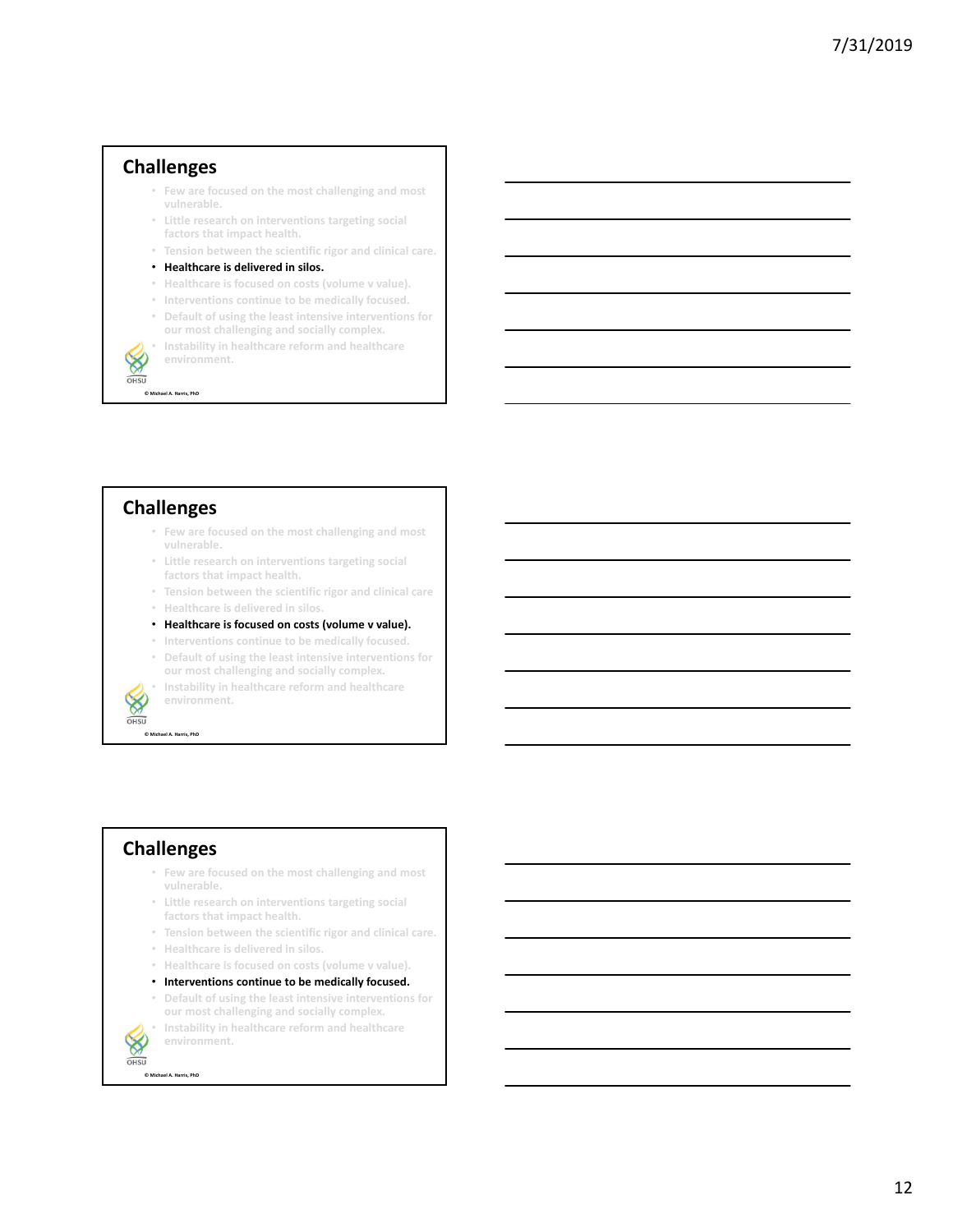#### **Challenges**

- **Few are focused on the most challenging and most vulnerable.**
- **Little research on interventions targeting social factors that impact health.**
- **Tension between the scientific rigor and clinical care.**
- **Healthcare is delivered in silos.**
- **Healthcare is focused on costs (volume v value).**
- **Interventions continue to be medically focused.**
- **Default of using the least intensive interventions for our most challenging and socially complex.**
- **Instability in healthcare reform and healthcare environment.**

OHSU **© Michael A. Harris, PhD**

 $\otimes$ 

#### **Challenges**

- **Few are focused on the most challenging and most vulnerable.**
- **Little research on interventions targeting social factors that impact health.**
- **Tension between the scientific rigor and clinical care**
- **Healthcare is delivered in silos.**
- **Healthcare is focused on costs (volume v value).**
- **Interventions continue to be medically focused.**
- **Default of using the least intensive interventions for our most challenging and socially complex.**
- **Instability in healthcare reform and healthcare environment.**

 $OHSU$ **© Michael A. Harris, PhD**

#### **Challenges**

- **Few are focused on the most challenging and most vulnerable.**
- **Little research on interventions targeting social factors that impact health.**
- **Tension between the scientific rigor and clinical care.**
- **Healthcare is delivered in silos.**
- **Healthcare is focused on costs (volume v value).**
- **Interventions continue to be medically focused.**
- **Default of using the least intensive interventions for our most challenging and socially complex.**

 $\otimes$ OHSU

**© Michael A. Harris, PhD**

• **Instability in healthcare reform and healthcare environment.**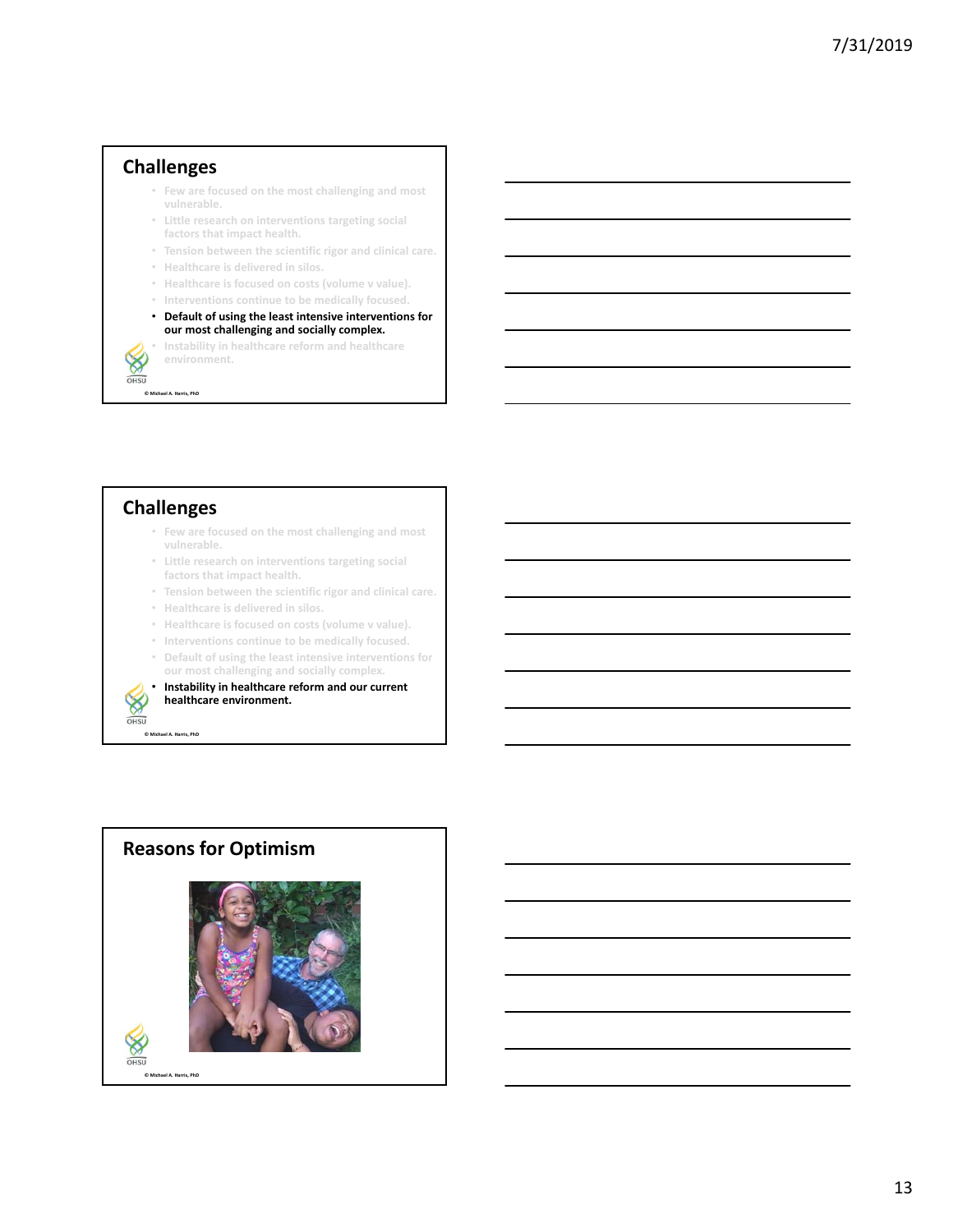#### **Challenges**

- **Few are focused on the most challenging and most vulnerable.**
- **Little research on interventions targeting social factors that impact health.**
- **Tension between the scientific rigor and clinical care.**
- **Healthcare is delivered in silos.**
- **Healthcare is focused on costs (volume v value).**
- **Interventions continue to be medically focused.**
- **Default of using the least intensive interventions for our most challenging and socially complex.**

• **Instability in healthcare reform and healthcare environment.**

OHSU **© Michael A. Harris, PhD**

 $\otimes$ 

## **Challenges**

- **Few are focused on the most challenging and most vulnerable.**
- **Little research on interventions targeting social factors that impact health.**
- **Tension between the scientific rigor and clinical care.**
- **Healthcare is delivered in silos.**
- **Healthcare is focused on costs (volume v value).**
- **Interventions continue to be medically focused.**
- **Default of using the least intensive interventions for our most challenging and socially complex.**
- **Instability in healthcare reform and our current healthcare environment.**



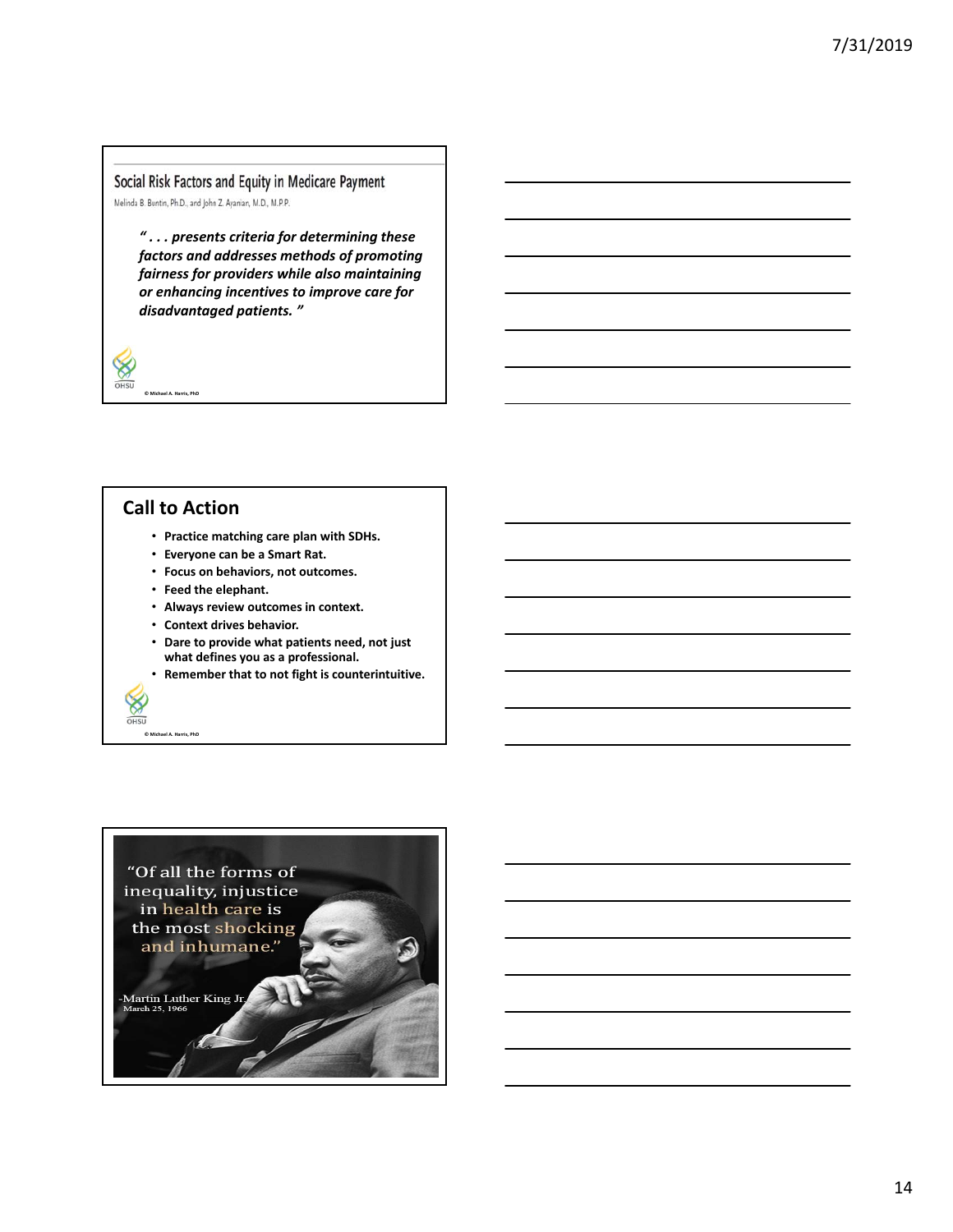Social Risk Factors and Equity in Medicare Payment Melinda B. Buntin, Ph.D., and John Z. Ayanian, M.D., M.P.P.

*" . . . presents criteria for determining these factors and addresses methods of promoting fairness for providers while also maintaining or enhancing incentives to improve care for disadvantaged patients. "*

### **Call to Action**

**© Michael A. Harris, PhD**

₩  $OHSU$ 

**© Michael A. Harris, PhD**

X OHSU

- **Practice matching care plan with SDHs.**
- **Everyone can be a Smart Rat.**
- **Focus on behaviors, not outcomes.**
- **Feed the elephant.**
- **Always review outcomes in context.**
- **Context drives behavior.**
- **Dare to provide what patients need, not just what defines you as a professional.**
- **Remember that to not fight is counterintuitive.**